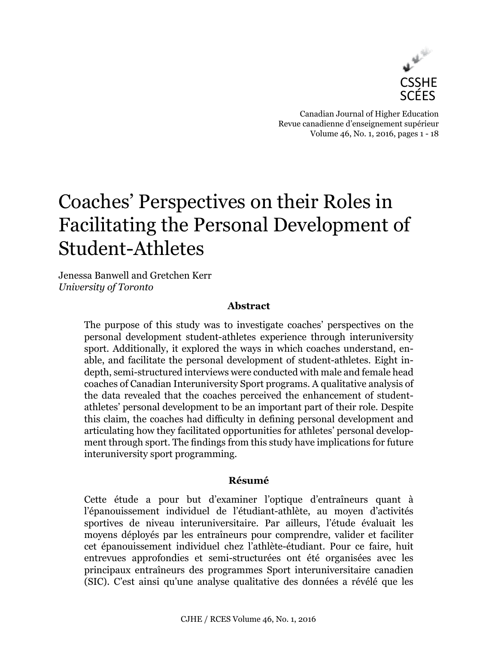

Canadian Journal of Higher Education Revue canadienne d'enseignement supérieur Volume 46, No. 1, 2016, pages 1 - 18

# Coaches' Perspectives on their Roles in Facilitating the Personal Development of Student-Athletes

Jenessa Banwell and Gretchen Kerr *University of Toronto*

## **Abstract**

The purpose of this study was to investigate coaches' perspectives on the personal development student-athletes experience through interuniversity sport. Additionally, it explored the ways in which coaches understand, enable, and facilitate the personal development of student-athletes. Eight indepth, semi-structured interviews were conducted with male and female head coaches of Canadian Interuniversity Sport programs. A qualitative analysis of the data revealed that the coaches perceived the enhancement of studentathletes' personal development to be an important part of their role. Despite this claim, the coaches had difficulty in defining personal development and articulating how they facilitated opportunities for athletes' personal development through sport. The findings from this study have implications for future interuniversity sport programming.

## **Résumé**

Cette étude a pour but d'examiner l'optique d'entraîneurs quant à l'épanouissement individuel de l'étudiant-athlète, au moyen d'activités sportives de niveau interuniversitaire. Par ailleurs, l'étude évaluait les moyens déployés par les entraîneurs pour comprendre, valider et faciliter cet épanouissement individuel chez l'athlète-étudiant. Pour ce faire, huit entrevues approfondies et semi-structurées ont été organisées avec les principaux entraîneurs des programmes Sport interuniversitaire canadien (SIC). C'est ainsi qu'une analyse qualitative des données a révélé que les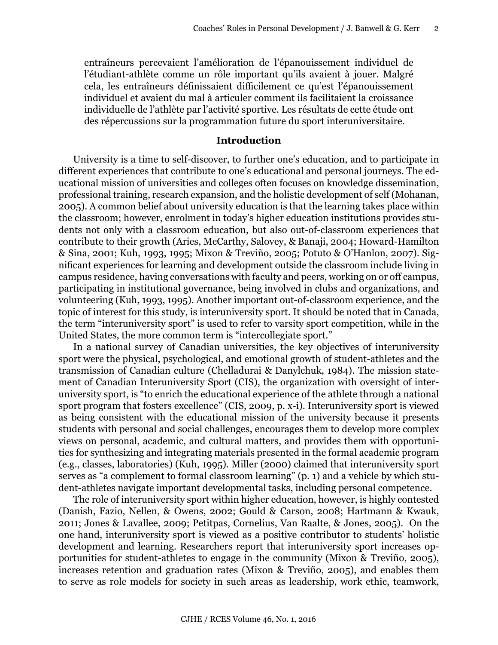entraîneurs percevaient l'amélioration de l'épanouissement individuel de l'étudiant-athlète comme un rôle important qu'ils avaient à jouer. Malgré cela, les entraîneurs définissaient difficilement ce qu'est l'épanouissement individuel et avaient du mal à articuler comment ils facilitaient la croissance individuelle de l'athlète par l'activité sportive. Les résultats de cette étude ont des répercussions sur la programmation future du sport interuniversitaire.

## **Introduction**

University is a time to self-discover, to further one's education, and to participate in different experiences that contribute to one's educational and personal journeys. The educational mission of universities and colleges often focuses on knowledge dissemination, professional training, research expansion, and the holistic development of self (Mohanan, 2005). A common belief about university education is that the learning takes place within the classroom; however, enrolment in today's higher education institutions provides students not only with a classroom education, but also out-of-classroom experiences that contribute to their growth (Aries, McCarthy, Salovey, & Banaji, 2004; Howard-Hamilton & Sina, 2001; Kuh, 1993, 1995; Mixon & Treviño, 2005; Potuto & O'Hanlon, 2007). Significant experiences for learning and development outside the classroom include living in campus residence, having conversations with faculty and peers, working on or off campus, participating in institutional governance, being involved in clubs and organizations, and volunteering (Kuh, 1993, 1995). Another important out-of-classroom experience, and the topic of interest for this study, is interuniversity sport. It should be noted that in Canada, the term "interuniversity sport" is used to refer to varsity sport competition, while in the United States, the more common term is "intercollegiate sport."

In a national survey of Canadian universities, the key objectives of interuniversity sport were the physical, psychological, and emotional growth of student-athletes and the transmission of Canadian culture (Chelladurai & Danylchuk, 1984). The mission statement of Canadian Interuniversity Sport (CIS), the organization with oversight of interuniversity sport, is "to enrich the educational experience of the athlete through a national sport program that fosters excellence" (CIS, 2009, p. x-i). Interuniversity sport is viewed as being consistent with the educational mission of the university because it presents students with personal and social challenges, encourages them to develop more complex views on personal, academic, and cultural matters, and provides them with opportunities for synthesizing and integrating materials presented in the formal academic program (e.g., classes, laboratories) (Kuh, 1995). Miller (2000) claimed that interuniversity sport serves as "a complement to formal classroom learning" (p. 1) and a vehicle by which student-athletes navigate important developmental tasks, including personal competence.

The role of interuniversity sport within higher education, however, is highly contested (Danish, Fazio, Nellen, & Owens, 2002; Gould & Carson, 2008; Hartmann & Kwauk, 2011; Jones & Lavallee, 2009; Petitpas, Cornelius, Van Raalte, & Jones, 2005). On the one hand, interuniversity sport is viewed as a positive contributor to students' holistic development and learning. Researchers report that interuniversity sport increases opportunities for student-athletes to engage in the community (Mixon & Treviño, 2005), increases retention and graduation rates (Mixon & Treviño, 2005), and enables them to serve as role models for society in such areas as leadership, work ethic, teamwork,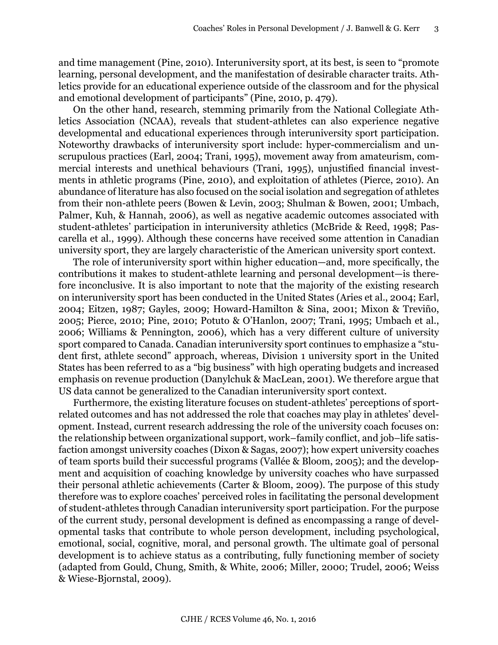and time management (Pine, 2010). Interuniversity sport, at its best, is seen to "promote learning, personal development, and the manifestation of desirable character traits. Athletics provide for an educational experience outside of the classroom and for the physical and emotional development of participants" (Pine, 2010, p. 479).

On the other hand, research, stemming primarily from the National Collegiate Athletics Association (NCAA), reveals that student-athletes can also experience negative developmental and educational experiences through interuniversity sport participation. Noteworthy drawbacks of interuniversity sport include: hyper-commercialism and unscrupulous practices (Earl, 2004; Trani, 1995), movement away from amateurism, commercial interests and unethical behaviours (Trani, 1995), unjustified financial investments in athletic programs (Pine, 2010), and exploitation of athletes (Pierce, 2010). An abundance of literature has also focused on the social isolation and segregation of athletes from their non-athlete peers (Bowen & Levin, 2003; Shulman & Bowen, 2001; Umbach, Palmer, Kuh, & Hannah, 2006), as well as negative academic outcomes associated with student-athletes' participation in interuniversity athletics (McBride & Reed, 1998; Pascarella et al., 1999). Although these concerns have received some attention in Canadian university sport, they are largely characteristic of the American university sport context.

The role of interuniversity sport within higher education—and, more specifically, the contributions it makes to student-athlete learning and personal development—is therefore inconclusive. It is also important to note that the majority of the existing research on interuniversity sport has been conducted in the United States (Aries et al., 2004; Earl, 2004; Eitzen, 1987; Gayles, 2009; Howard-Hamilton & Sina, 2001; Mixon & Treviño, 2005; Pierce, 2010; Pine, 2010; Potuto & O'Hanlon, 2007; Trani, 1995; Umbach et al., 2006; Williams & Pennington, 2006), which has a very different culture of university sport compared to Canada. Canadian interuniversity sport continues to emphasize a "student first, athlete second" approach, whereas, Division 1 university sport in the United States has been referred to as a "big business" with high operating budgets and increased emphasis on revenue production (Danylchuk & MacLean, 2001). We therefore argue that US data cannot be generalized to the Canadian interuniversity sport context.

Furthermore, the existing literature focuses on student-athletes' perceptions of sportrelated outcomes and has not addressed the role that coaches may play in athletes' development. Instead, current research addressing the role of the university coach focuses on: the relationship between organizational support, work–family conflict, and job–life satisfaction amongst university coaches (Dixon & Sagas, 2007); how expert university coaches of team sports build their successful programs (Vallée & Bloom, 2005); and the development and acquisition of coaching knowledge by university coaches who have surpassed their personal athletic achievements (Carter & Bloom, 2009). The purpose of this study therefore was to explore coaches' perceived roles in facilitating the personal development of student-athletes through Canadian interuniversity sport participation. For the purpose of the current study, personal development is defined as encompassing a range of developmental tasks that contribute to whole person development, including psychological, emotional, social, cognitive, moral, and personal growth. The ultimate goal of personal development is to achieve status as a contributing, fully functioning member of society (adapted from Gould, Chung, Smith, & White, 2006; Miller, 2000; Trudel, 2006; Weiss & Wiese-Bjornstal, 2009).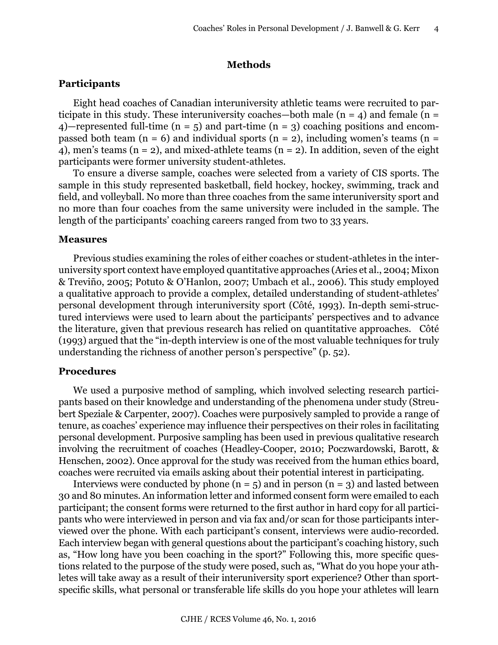#### **Methods**

#### **Participants**

Eight head coaches of Canadian interuniversity athletic teams were recruited to participate in this study. These interuniversity coaches—both male  $(n = 4)$  and female  $(n = 1)$ 4)—represented full-time ( $n = 5$ ) and part-time ( $n = 3$ ) coaching positions and encompassed both team ( $n = 6$ ) and individual sports ( $n = 2$ ), including women's teams ( $n =$ 4), men's teams (n = 2), and mixed-athlete teams (n = 2). In addition, seven of the eight participants were former university student-athletes.

To ensure a diverse sample, coaches were selected from a variety of CIS sports. The sample in this study represented basketball, field hockey, hockey, swimming, track and field, and volleyball. No more than three coaches from the same interuniversity sport and no more than four coaches from the same university were included in the sample. The length of the participants' coaching careers ranged from two to 33 years.

#### **Measures**

Previous studies examining the roles of either coaches or student-athletes in the interuniversity sport context have employed quantitative approaches (Aries et al., 2004; Mixon & Treviño, 2005; Potuto & O'Hanlon, 2007; Umbach et al., 2006). This study employed a qualitative approach to provide a complex, detailed understanding of student-athletes' personal development through interuniversity sport (Côté, 1993). In-depth semi-structured interviews were used to learn about the participants' perspectives and to advance the literature, given that previous research has relied on quantitative approaches. Côté (1993) argued that the "in-depth interview is one of the most valuable techniques for truly understanding the richness of another person's perspective" (p. 52).

#### **Procedures**

We used a purposive method of sampling, which involved selecting research participants based on their knowledge and understanding of the phenomena under study (Streubert Speziale & Carpenter, 2007). Coaches were purposively sampled to provide a range of tenure, as coaches' experience may influence their perspectives on their roles in facilitating personal development. Purposive sampling has been used in previous qualitative research involving the recruitment of coaches (Headley-Cooper, 2010; Poczwardowski, Barott, & Henschen, 2002). Once approval for the study was received from the human ethics board, coaches were recruited via emails asking about their potential interest in participating.

Interviews were conducted by phone  $(n = 5)$  and in person  $(n = 3)$  and lasted between 30 and 80 minutes. An information letter and informed consent form were emailed to each participant; the consent forms were returned to the first author in hard copy for all participants who were interviewed in person and via fax and/or scan for those participants interviewed over the phone. With each participant's consent, interviews were audio-recorded. Each interview began with general questions about the participant's coaching history, such as, "How long have you been coaching in the sport?" Following this, more specific questions related to the purpose of the study were posed, such as, "What do you hope your athletes will take away as a result of their interuniversity sport experience? Other than sportspecific skills, what personal or transferable life skills do you hope your athletes will learn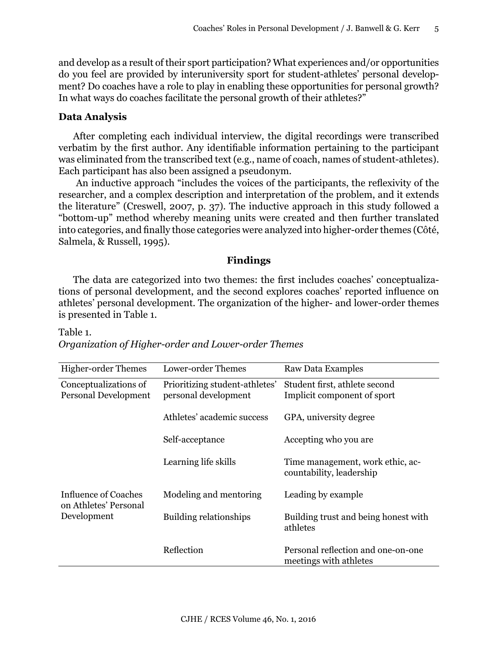and develop as a result of their sport participation? What experiences and/or opportunities do you feel are provided by interuniversity sport for student-athletes' personal development? Do coaches have a role to play in enabling these opportunities for personal growth? In what ways do coaches facilitate the personal growth of their athletes?"

## **Data Analysis**

After completing each individual interview, the digital recordings were transcribed verbatim by the first author. Any identifiable information pertaining to the participant was eliminated from the transcribed text (e.g., name of coach, names of student-athletes). Each participant has also been assigned a pseudonym.

 An inductive approach "includes the voices of the participants, the reflexivity of the researcher, and a complex description and interpretation of the problem, and it extends the literature" (Creswell, 2007, p. 37). The inductive approach in this study followed a "bottom-up" method whereby meaning units were created and then further translated into categories, and finally those categories were analyzed into higher-order themes (Côté, Salmela, & Russell, 1995).

## **Findings**

The data are categorized into two themes: the first includes coaches' conceptualizations of personal development, and the second explores coaches' reported influence on athletes' personal development. The organization of the higher- and lower-order themes is presented in Table 1.

| <b>Higher-order Themes</b>                                          | Lower-order Themes             | Raw Data Examples                                            |
|---------------------------------------------------------------------|--------------------------------|--------------------------------------------------------------|
| Conceptualizations of                                               | Prioritizing student-athletes' | Student first, athlete second                                |
| Personal Development                                                | personal development           | Implicit component of sport                                  |
|                                                                     | Athletes' academic success     | GPA, university degree                                       |
|                                                                     | Self-acceptance                | Accepting who you are                                        |
|                                                                     | Learning life skills           | Time management, work ethic, ac-<br>countability, leadership |
| <b>Influence of Coaches</b><br>on Athletes' Personal<br>Development | Modeling and mentoring         | Leading by example                                           |
|                                                                     | <b>Building relationships</b>  | Building trust and being honest with<br>athletes             |
|                                                                     | Reflection                     | Personal reflection and one-on-one<br>meetings with athletes |

# Table 1. *Organization of Higher-order and Lower-order Themes*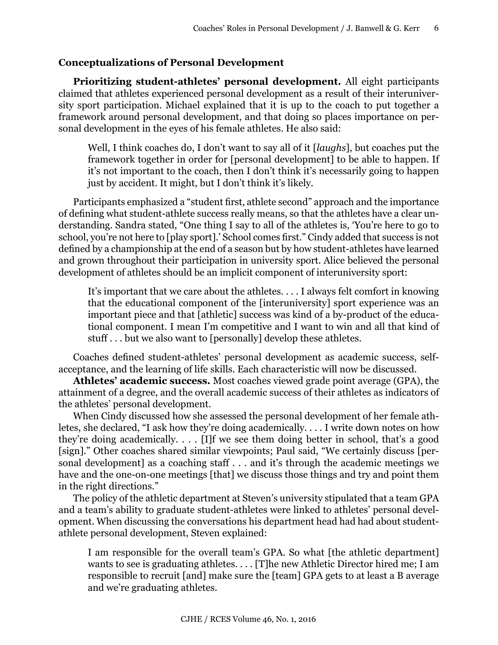## **Conceptualizations of Personal Development**

**Prioritizing student-athletes' personal development.** All eight participants claimed that athletes experienced personal development as a result of their interuniversity sport participation. Michael explained that it is up to the coach to put together a framework around personal development, and that doing so places importance on personal development in the eyes of his female athletes. He also said:

Well, I think coaches do, I don't want to say all of it [*laughs*], but coaches put the framework together in order for [personal development] to be able to happen. If it's not important to the coach, then I don't think it's necessarily going to happen just by accident. It might, but I don't think it's likely.

Participants emphasized a "student first, athlete second" approach and the importance of defining what student-athlete success really means, so that the athletes have a clear understanding. Sandra stated, "One thing I say to all of the athletes is, 'You're here to go to school, you're not here to [play sport].' School comes first." Cindy added that success is not defined by a championship at the end of a season but by how student-athletes have learned and grown throughout their participation in university sport. Alice believed the personal development of athletes should be an implicit component of interuniversity sport:

It's important that we care about the athletes. . . . I always felt comfort in knowing that the educational component of the [interuniversity] sport experience was an important piece and that [athletic] success was kind of a by-product of the educational component. I mean I'm competitive and I want to win and all that kind of stuff . . . but we also want to [personally] develop these athletes.

Coaches defined student-athletes' personal development as academic success, selfacceptance, and the learning of life skills. Each characteristic will now be discussed.

**Athletes' academic success.** Most coaches viewed grade point average (GPA), the attainment of a degree, and the overall academic success of their athletes as indicators of the athletes' personal development.

When Cindy discussed how she assessed the personal development of her female athletes, she declared, "I ask how they're doing academically. . . . I write down notes on how they're doing academically. . . . [I]f we see them doing better in school, that's a good [sign]." Other coaches shared similar viewpoints; Paul said, "We certainly discuss [personal development] as a coaching staff . . . and it's through the academic meetings we have and the one-on-one meetings [that] we discuss those things and try and point them in the right directions."

The policy of the athletic department at Steven's university stipulated that a team GPA and a team's ability to graduate student-athletes were linked to athletes' personal development. When discussing the conversations his department head had had about studentathlete personal development, Steven explained:

I am responsible for the overall team's GPA. So what [the athletic department] wants to see is graduating athletes.... [T]he new Athletic Director hired me; I am responsible to recruit [and] make sure the [team] GPA gets to at least a B average and we're graduating athletes.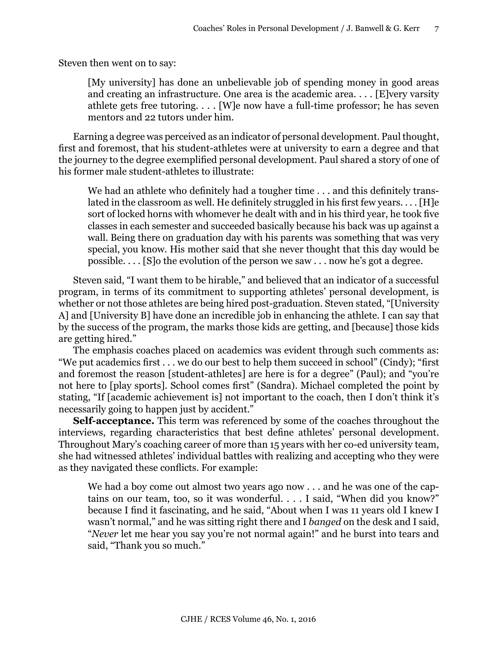Steven then went on to say:

[My university] has done an unbelievable job of spending money in good areas and creating an infrastructure. One area is the academic area. . . . [E]very varsity athlete gets free tutoring. . . . [W]e now have a full-time professor; he has seven mentors and 22 tutors under him.

Earning a degree was perceived as an indicator of personal development. Paul thought, first and foremost, that his student-athletes were at university to earn a degree and that the journey to the degree exemplified personal development. Paul shared a story of one of his former male student-athletes to illustrate:

We had an athlete who definitely had a tougher time . . . and this definitely translated in the classroom as well. He definitely struggled in his first few years. . . . [H]e sort of locked horns with whomever he dealt with and in his third year, he took five classes in each semester and succeeded basically because his back was up against a wall. Being there on graduation day with his parents was something that was very special, you know. His mother said that she never thought that this day would be possible. . . . [S]o the evolution of the person we saw . . . now he's got a degree.

Steven said, "I want them to be hirable," and believed that an indicator of a successful program, in terms of its commitment to supporting athletes' personal development, is whether or not those athletes are being hired post-graduation. Steven stated, "[University A] and [University B] have done an incredible job in enhancing the athlete. I can say that by the success of the program, the marks those kids are getting, and [because] those kids are getting hired."

The emphasis coaches placed on academics was evident through such comments as: "We put academics first . . . we do our best to help them succeed in school" (Cindy); "first and foremost the reason [student-athletes] are here is for a degree" (Paul); and "you're not here to [play sports]. School comes first" (Sandra). Michael completed the point by stating, "If [academic achievement is] not important to the coach, then I don't think it's necessarily going to happen just by accident."

**Self-acceptance.** This term was referenced by some of the coaches throughout the interviews, regarding characteristics that best define athletes' personal development. Throughout Mary's coaching career of more than 15 years with her co-ed university team, she had witnessed athletes' individual battles with realizing and accepting who they were as they navigated these conflicts. For example:

We had a boy come out almost two years ago now . . . and he was one of the captains on our team, too, so it was wonderful. . . . I said, "When did you know?" because I find it fascinating, and he said, "About when I was 11 years old I knew I wasn't normal," and he was sitting right there and I *banged* on the desk and I said, "*Never* let me hear you say you're not normal again!" and he burst into tears and said, "Thank you so much."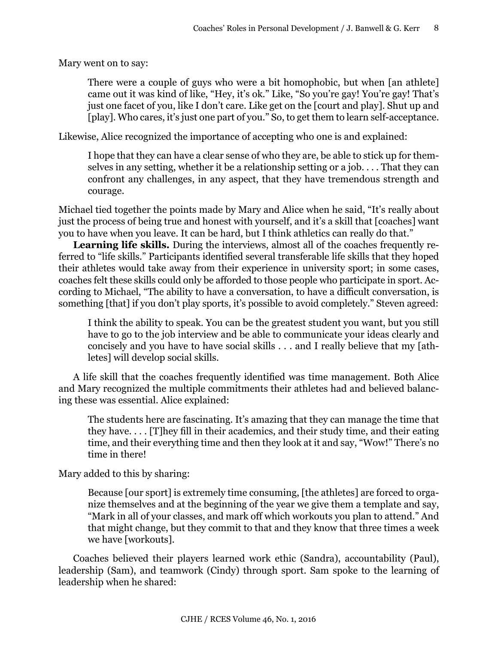Mary went on to say:

There were a couple of guys who were a bit homophobic, but when [an athlete] came out it was kind of like, "Hey, it's ok." Like, "So you're gay! You're gay! That's just one facet of you, like I don't care. Like get on the [court and play]. Shut up and [play]. Who cares, it's just one part of you." So, to get them to learn self-acceptance.

Likewise, Alice recognized the importance of accepting who one is and explained:

I hope that they can have a clear sense of who they are, be able to stick up for themselves in any setting, whether it be a relationship setting or a job. . . . That they can confront any challenges, in any aspect, that they have tremendous strength and courage.

Michael tied together the points made by Mary and Alice when he said, "It's really about just the process of being true and honest with yourself, and it's a skill that [coaches] want you to have when you leave. It can be hard, but I think athletics can really do that."

**Learning life skills.** During the interviews, almost all of the coaches frequently referred to "life skills." Participants identified several transferable life skills that they hoped their athletes would take away from their experience in university sport; in some cases, coaches felt these skills could only be afforded to those people who participate in sport. According to Michael, "The ability to have a conversation, to have a difficult conversation, is something [that] if you don't play sports, it's possible to avoid completely." Steven agreed:

I think the ability to speak. You can be the greatest student you want, but you still have to go to the job interview and be able to communicate your ideas clearly and concisely and you have to have social skills . . . and I really believe that my [athletes] will develop social skills.

A life skill that the coaches frequently identified was time management. Both Alice and Mary recognized the multiple commitments their athletes had and believed balancing these was essential. Alice explained:

The students here are fascinating. It's amazing that they can manage the time that they have. . . . [T]hey fill in their academics, and their study time, and their eating time, and their everything time and then they look at it and say, "Wow!" There's no time in there!

Mary added to this by sharing:

Because [our sport] is extremely time consuming, [the athletes] are forced to organize themselves and at the beginning of the year we give them a template and say, "Mark in all of your classes, and mark off which workouts you plan to attend." And that might change, but they commit to that and they know that three times a week we have [workouts].

Coaches believed their players learned work ethic (Sandra), accountability (Paul), leadership (Sam), and teamwork (Cindy) through sport. Sam spoke to the learning of leadership when he shared: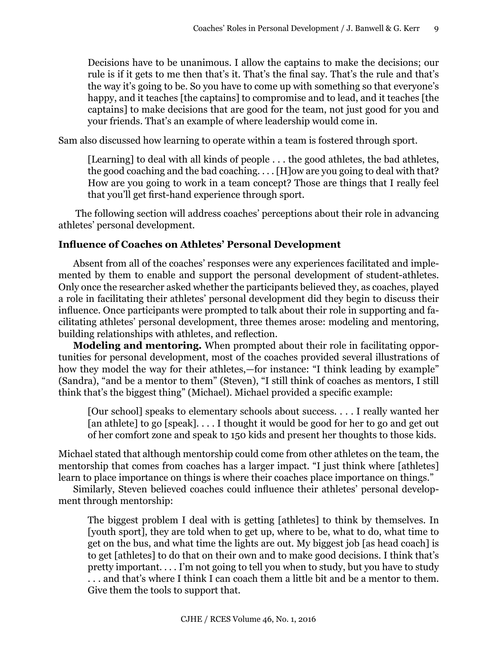Decisions have to be unanimous. I allow the captains to make the decisions; our rule is if it gets to me then that's it. That's the final say. That's the rule and that's the way it's going to be. So you have to come up with something so that everyone's happy, and it teaches [the captains] to compromise and to lead, and it teaches [the captains] to make decisions that are good for the team, not just good for you and your friends. That's an example of where leadership would come in.

Sam also discussed how learning to operate within a team is fostered through sport.

[Learning] to deal with all kinds of people . . . the good athletes, the bad athletes, the good coaching and the bad coaching. . . . [H]ow are you going to deal with that? How are you going to work in a team concept? Those are things that I really feel that you'll get first-hand experience through sport.

 The following section will address coaches' perceptions about their role in advancing athletes' personal development.

## **Influence of Coaches on Athletes' Personal Development**

Absent from all of the coaches' responses were any experiences facilitated and implemented by them to enable and support the personal development of student-athletes. Only once the researcher asked whether the participants believed they, as coaches, played a role in facilitating their athletes' personal development did they begin to discuss their influence. Once participants were prompted to talk about their role in supporting and facilitating athletes' personal development, three themes arose: modeling and mentoring, building relationships with athletes, and reflection.

**Modeling and mentoring.** When prompted about their role in facilitating opportunities for personal development, most of the coaches provided several illustrations of how they model the way for their athletes,—for instance: "I think leading by example" (Sandra), "and be a mentor to them" (Steven), "I still think of coaches as mentors, I still think that's the biggest thing" (Michael). Michael provided a specific example:

[Our school] speaks to elementary schools about success. . . . I really wanted her [an athlete] to go [speak].... I thought it would be good for her to go and get out of her comfort zone and speak to 150 kids and present her thoughts to those kids.

Michael stated that although mentorship could come from other athletes on the team, the mentorship that comes from coaches has a larger impact. "I just think where [athletes] learn to place importance on things is where their coaches place importance on things."

Similarly, Steven believed coaches could influence their athletes' personal development through mentorship:

The biggest problem I deal with is getting [athletes] to think by themselves. In [youth sport], they are told when to get up, where to be, what to do, what time to get on the bus, and what time the lights are out. My biggest job [as head coach] is to get [athletes] to do that on their own and to make good decisions. I think that's pretty important. . . . I'm not going to tell you when to study, but you have to study . . . and that's where I think I can coach them a little bit and be a mentor to them. Give them the tools to support that.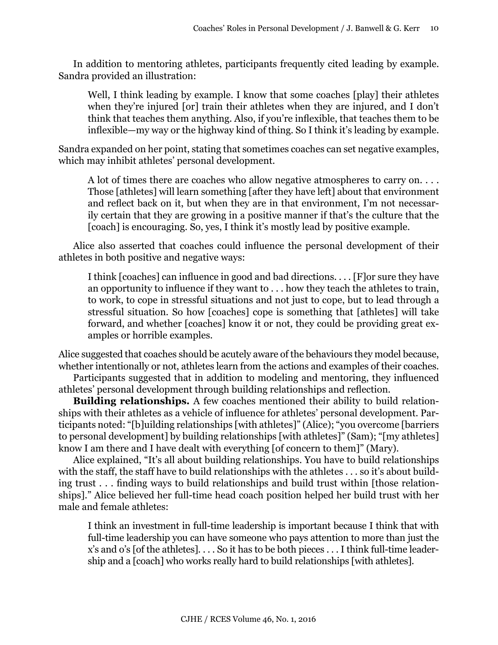In addition to mentoring athletes, participants frequently cited leading by example. Sandra provided an illustration:

Well, I think leading by example. I know that some coaches [play] their athletes when they're injured [or] train their athletes when they are injured, and I don't think that teaches them anything. Also, if you're inflexible, that teaches them to be inflexible—my way or the highway kind of thing. So I think it's leading by example.

Sandra expanded on her point, stating that sometimes coaches can set negative examples, which may inhibit athletes' personal development.

A lot of times there are coaches who allow negative atmospheres to carry on.... Those [athletes] will learn something [after they have left] about that environment and reflect back on it, but when they are in that environment, I'm not necessarily certain that they are growing in a positive manner if that's the culture that the [coach] is encouraging. So, yes, I think it's mostly lead by positive example.

Alice also asserted that coaches could influence the personal development of their athletes in both positive and negative ways:

I think [coaches] can influence in good and bad directions. . . . [F]or sure they have an opportunity to influence if they want to . . . how they teach the athletes to train, to work, to cope in stressful situations and not just to cope, but to lead through a stressful situation. So how [coaches] cope is something that [athletes] will take forward, and whether [coaches] know it or not, they could be providing great examples or horrible examples.

Alice suggested that coaches should be acutely aware of the behaviours they model because, whether intentionally or not, athletes learn from the actions and examples of their coaches.

Participants suggested that in addition to modeling and mentoring, they influenced athletes' personal development through building relationships and reflection.

**Building relationships.** A few coaches mentioned their ability to build relationships with their athletes as a vehicle of influence for athletes' personal development. Participants noted: "[b]uilding relationships [with athletes]" (Alice); "you overcome [barriers to personal development] by building relationships [with athletes]" (Sam); "[my athletes] know I am there and I have dealt with everything [of concern to them]" (Mary).

Alice explained, "It's all about building relationships. You have to build relationships with the staff, the staff have to build relationships with the athletes . . . so it's about building trust . . . finding ways to build relationships and build trust within [those relationships]." Alice believed her full-time head coach position helped her build trust with her male and female athletes:

I think an investment in full-time leadership is important because I think that with full-time leadership you can have someone who pays attention to more than just the x's and o's [of the athletes]. . . . So it has to be both pieces . . . I think full-time leadership and a [coach] who works really hard to build relationships [with athletes].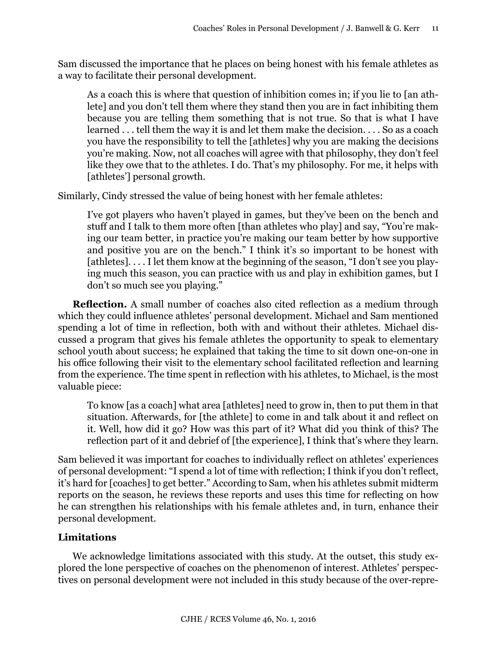Sam discussed the importance that he places on being honest with his female athletes as a way to facilitate their personal development.

As a coach this is where that question of inhibition comes in; if you lie to [an athlete] and you don't tell them where they stand then you are in fact inhibiting them because you are telling them something that is not true. So that is what I have learned . . . tell them the way it is and let them make the decision. . . . So as a coach you have the responsibility to tell the [athletes] why you are making the decisions you're making. Now, not all coaches will agree with that philosophy, they don't feel like they owe that to the athletes. I do. That's my philosophy. For me, it helps with [athletes'] personal growth.

Similarly, Cindy stressed the value of being honest with her female athletes:

I've got players who haven't played in games, but they've been on the bench and stuff and I talk to them more often [than athletes who play] and say, "You're making our team better, in practice you're making our team better by how supportive and positive you are on the bench." I think it's so important to be honest with [athletes].... I let them know at the beginning of the season, "I don't see you playing much this season, you can practice with us and play in exhibition games, but I don't so much see you playing."

**Reflection.** A small number of coaches also cited reflection as a medium through which they could influence athletes' personal development. Michael and Sam mentioned spending a lot of time in reflection, both with and without their athletes. Michael discussed a program that gives his female athletes the opportunity to speak to elementary school youth about success; he explained that taking the time to sit down one-on-one in his office following their visit to the elementary school facilitated reflection and learning from the experience. The time spent in reflection with his athletes, to Michael, is the most valuable piece:

To know [as a coach] what area [athletes] need to grow in, then to put them in that situation. Afterwards, for [the athlete] to come in and talk about it and reflect on it. Well, how did it go? How was this part of it? What did you think of this? The reflection part of it and debrief of [the experience], I think that's where they learn.

Sam believed it was important for coaches to individually reflect on athletes' experiences of personal development: "I spend a lot of time with reflection; I think if you don't reflect, it's hard for [coaches] to get better." According to Sam, when his athletes submit midterm reports on the season, he reviews these reports and uses this time for reflecting on how he can strengthen his relationships with his female athletes and, in turn, enhance their personal development.

# **Limitations**

We acknowledge limitations associated with this study. At the outset, this study explored the lone perspective of coaches on the phenomenon of interest. Athletes' perspectives on personal development were not included in this study because of the over-repre-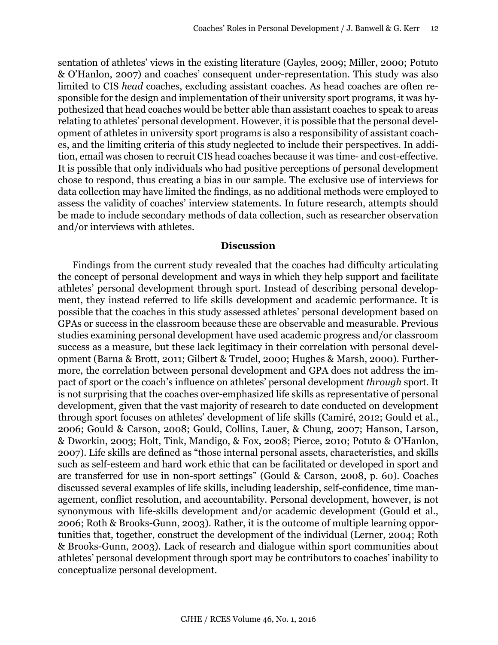sentation of athletes' views in the existing literature (Gayles, 2009; Miller, 2000; Potuto & O'Hanlon, 2007) and coaches' consequent under-representation. This study was also limited to CIS *head* coaches, excluding assistant coaches. As head coaches are often responsible for the design and implementation of their university sport programs, it was hypothesized that head coaches would be better able than assistant coaches to speak to areas relating to athletes' personal development. However, it is possible that the personal development of athletes in university sport programs is also a responsibility of assistant coaches, and the limiting criteria of this study neglected to include their perspectives. In addition, email was chosen to recruit CIS head coaches because it was time- and cost-effective. It is possible that only individuals who had positive perceptions of personal development chose to respond, thus creating a bias in our sample. The exclusive use of interviews for data collection may have limited the findings, as no additional methods were employed to assess the validity of coaches' interview statements. In future research, attempts should be made to include secondary methods of data collection, such as researcher observation and/or interviews with athletes.

#### **Discussion**

Findings from the current study revealed that the coaches had difficulty articulating the concept of personal development and ways in which they help support and facilitate athletes' personal development through sport. Instead of describing personal development, they instead referred to life skills development and academic performance. It is possible that the coaches in this study assessed athletes' personal development based on GPAs or success in the classroom because these are observable and measurable. Previous studies examining personal development have used academic progress and/or classroom success as a measure, but these lack legitimacy in their correlation with personal development (Barna & Brott, 2011; Gilbert & Trudel, 2000; Hughes & Marsh, 2000). Furthermore, the correlation between personal development and GPA does not address the impact of sport or the coach's influence on athletes' personal development *through* sport. It is not surprising that the coaches over-emphasized life skills as representative of personal development, given that the vast majority of research to date conducted on development through sport focuses on athletes' development of life skills (Camiré, 2012; Gould et al., 2006; Gould & Carson, 2008; Gould, Collins, Lauer, & Chung, 2007; Hanson, Larson, & Dworkin, 2003; Holt, Tink, Mandigo, & Fox, 2008; Pierce, 2010; Potuto & O'Hanlon, 2007). Life skills are defined as "those internal personal assets, characteristics, and skills such as self-esteem and hard work ethic that can be facilitated or developed in sport and are transferred for use in non-sport settings" (Gould & Carson, 2008, p. 60). Coaches discussed several examples of life skills, including leadership, self-confidence, time management, conflict resolution, and accountability. Personal development, however, is not synonymous with life-skills development and/or academic development (Gould et al., 2006; Roth & Brooks-Gunn, 2003). Rather, it is the outcome of multiple learning opportunities that, together, construct the development of the individual (Lerner, 2004; Roth & Brooks-Gunn, 2003). Lack of research and dialogue within sport communities about athletes' personal development through sport may be contributors to coaches' inability to conceptualize personal development.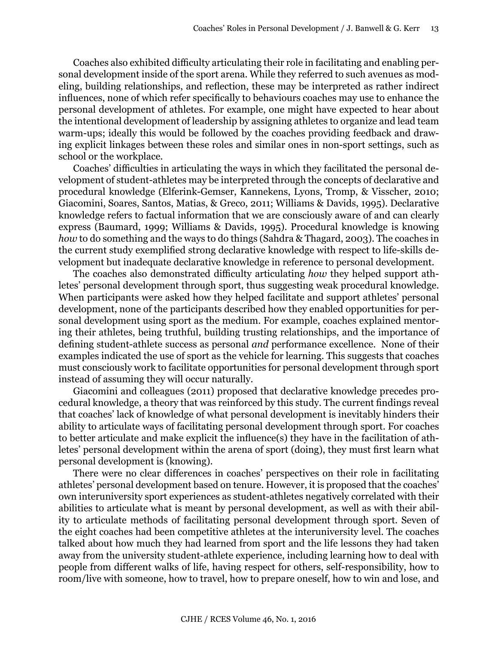Coaches also exhibited difficulty articulating their role in facilitating and enabling personal development inside of the sport arena. While they referred to such avenues as modeling, building relationships, and reflection, these may be interpreted as rather indirect influences, none of which refer specifically to behaviours coaches may use to enhance the personal development of athletes. For example, one might have expected to hear about the intentional development of leadership by assigning athletes to organize and lead team warm-ups; ideally this would be followed by the coaches providing feedback and drawing explicit linkages between these roles and similar ones in non-sport settings, such as school or the workplace.

Coaches' difficulties in articulating the ways in which they facilitated the personal development of student-athletes may be interpreted through the concepts of declarative and procedural knowledge (Elferink-Gemser, Kannekens, Lyons, Tromp, & Visscher, 2010; Giacomini, Soares, Santos, Matias, & Greco, 2011; Williams & Davids, 1995). Declarative knowledge refers to factual information that we are consciously aware of and can clearly express (Baumard, 1999; Williams & Davids, 1995). Procedural knowledge is knowing *how* to do something and the ways to do things (Sahdra & Thagard, 2003). The coaches in the current study exemplified strong declarative knowledge with respect to life-skills development but inadequate declarative knowledge in reference to personal development.

The coaches also demonstrated difficulty articulating *how* they helped support athletes' personal development through sport, thus suggesting weak procedural knowledge. When participants were asked how they helped facilitate and support athletes' personal development, none of the participants described how they enabled opportunities for personal development using sport as the medium. For example, coaches explained mentoring their athletes, being truthful, building trusting relationships, and the importance of defining student-athlete success as personal *and* performance excellence. None of their examples indicated the use of sport as the vehicle for learning. This suggests that coaches must consciously work to facilitate opportunities for personal development through sport instead of assuming they will occur naturally.

Giacomini and colleagues (2011) proposed that declarative knowledge precedes procedural knowledge, a theory that was reinforced by this study. The current findings reveal that coaches' lack of knowledge of what personal development is inevitably hinders their ability to articulate ways of facilitating personal development through sport. For coaches to better articulate and make explicit the influence(s) they have in the facilitation of athletes' personal development within the arena of sport (doing), they must first learn what personal development is (knowing).

There were no clear differences in coaches' perspectives on their role in facilitating athletes' personal development based on tenure. However, it is proposed that the coaches' own interuniversity sport experiences as student-athletes negatively correlated with their abilities to articulate what is meant by personal development, as well as with their ability to articulate methods of facilitating personal development through sport. Seven of the eight coaches had been competitive athletes at the interuniversity level. The coaches talked about how much they had learned from sport and the life lessons they had taken away from the university student-athlete experience, including learning how to deal with people from different walks of life, having respect for others, self-responsibility, how to room/live with someone, how to travel, how to prepare oneself, how to win and lose, and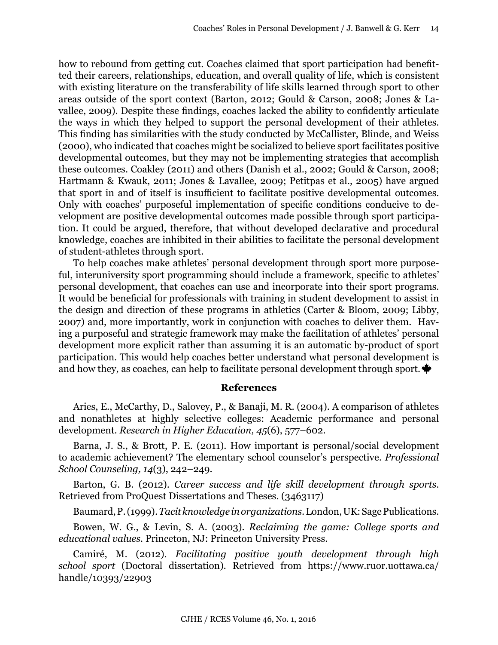how to rebound from getting cut. Coaches claimed that sport participation had benefitted their careers, relationships, education, and overall quality of life, which is consistent with existing literature on the transferability of life skills learned through sport to other areas outside of the sport context (Barton, 2012; Gould & Carson, 2008; Jones & Lavallee, 2009). Despite these findings, coaches lacked the ability to confidently articulate the ways in which they helped to support the personal development of their athletes. This finding has similarities with the study conducted by McCallister, Blinde, and Weiss (2000), who indicated that coaches might be socialized to believe sport facilitates positive developmental outcomes, but they may not be implementing strategies that accomplish these outcomes. Coakley (2011) and others (Danish et al., 2002; Gould & Carson, 2008; Hartmann & Kwauk, 2011; Jones & Lavallee, 2009; Petitpas et al., 2005) have argued that sport in and of itself is insufficient to facilitate positive developmental outcomes. Only with coaches' purposeful implementation of specific conditions conducive to development are positive developmental outcomes made possible through sport participation. It could be argued, therefore, that without developed declarative and procedural knowledge, coaches are inhibited in their abilities to facilitate the personal development of student-athletes through sport.

To help coaches make athletes' personal development through sport more purposeful, interuniversity sport programming should include a framework, specific to athletes' personal development, that coaches can use and incorporate into their sport programs. It would be beneficial for professionals with training in student development to assist in the design and direction of these programs in athletics (Carter & Bloom, 2009; Libby, 2007) and, more importantly, work in conjunction with coaches to deliver them. Having a purposeful and strategic framework may make the facilitation of athletes' personal development more explicit rather than assuming it is an automatic by-product of sport participation. This would help coaches better understand what personal development is and how they, as coaches, can help to facilitate personal development through sport.  $\bullet$ 

## **References**

Aries, E., McCarthy, D., Salovey, P., & Banaji, M. R. (2004). A comparison of athletes and nonathletes at highly selective colleges: Academic performance and personal development. *Research in Higher Education, 45*(6), 577–602.

Barna, J. S., & Brott, P. E. (2011). How important is personal/social development to academic achievement? The elementary school counselor's perspective. *Professional School Counseling, 14*(3), 242–249.

Barton, G. B. (2012). *Career success and life skill development through sports*. Retrieved from ProQuest Dissertations and Theses. (3463117)

Baumard, P. (1999). *Tacit knowledge in organizations*. London, UK: Sage Publications.

Bowen, W. G., & Levin, S. A. (2003). *Reclaiming the game: College sports and educational values.* Princeton, NJ: Princeton University Press.

Camiré, M. (2012). *Facilitating positive youth development through high school sport* (Doctoral dissertation)*.* Retrieved from [https://www.ruor.uottawa.ca/](https://www.ruor.uottawa.ca/handle/10393/22903) [handle/10393/22903](https://www.ruor.uottawa.ca/handle/10393/22903)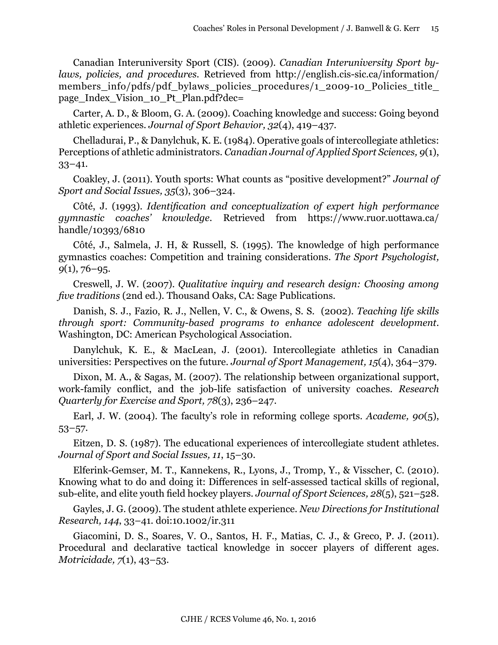Canadian Interuniversity Sport (CIS). (2009). *Canadian Interuniversity Sport bylaws, policies, and procedures.* Retrieved from [http://english.cis-sic.ca/information/](http://english.cis-sic.ca/information/members_info/pdfs/pdf_bylaws_policies_procedures/1_2009-10_Policies_title_page_Index_Vision_10_Pt_Plan.pdf?dec=) members info/pdfs/pdf bylaws policies procedures/1\_2009-10\_Policies\_title [page\\_Index\\_Vision\\_10\\_Pt\\_Plan.pdf?dec=](http://english.cis-sic.ca/information/members_info/pdfs/pdf_bylaws_policies_procedures/1_2009-10_Policies_title_page_Index_Vision_10_Pt_Plan.pdf?dec=)

Carter, A. D., & Bloom, G. A. (2009). Coaching knowledge and success: Going beyond athletic experiences. *Journal of Sport Behavior, 32*(4), 419–437.

Chelladurai, P., & Danylchuk, K. E. (1984). Operative goals of intercollegiate athletics: Perceptions of athletic administrators. *Canadian Journal of Applied Sport Sciences, 9*(1), 33–41.

Coakley, J. (2011). Youth sports: What counts as "positive development?" *Journal of Sport and Social Issues, 35*(3), 306–324.

Côté, J. (1993). *Identification and conceptualization of expert high performance gymnastic coaches' knowledge*. Retrieved from [https://www.ruor.uottawa.ca/](https://www.ruor.uottawa.ca/handle/10393/6810) [handle/10393/6810](https://www.ruor.uottawa.ca/handle/10393/6810)

Côté, J., Salmela, J. H, & Russell, S. (1995). The knowledge of high performance gymnastics coaches: Competition and training considerations. *The Sport Psychologist, 9*(1), 76–95.

Creswell, J. W. (2007). *Qualitative inquiry and research design: Choosing among five traditions* (2nd ed.)*.* Thousand Oaks, CA: Sage Publications.

Danish, S. J., Fazio, R. J., Nellen, V. C., & Owens, S. S. (2002). *Teaching life skills through sport: Community-based programs to enhance adolescent development*. Washington, DC: American Psychological Association.

Danylchuk, K. E., & MacLean, J. (2001). Intercollegiate athletics in Canadian universities: Perspectives on the future. *Journal of Sport Management, 15*(4), 364–379.

Dixon, M. A., & Sagas, M. (2007). The relationship between organizational support, work-family conflict, and the job-life satisfaction of university coaches. *Research Quarterly for Exercise and Sport, 78*(3), 236–247.

Earl, J. W. (2004). The faculty's role in reforming college sports. *Academe, 90*(5), 53–57.

Eitzen, D. S. (1987). The educational experiences of intercollegiate student athletes. *Journal of Sport and Social Issues, 11*, 15–30.

Elferink-Gemser, M. T., Kannekens, R., Lyons, J., Tromp, Y., & Visscher, C. (2010). Knowing what to do and doing it: Differences in self-assessed tactical skills of regional, sub-elite, and elite youth field hockey players. *Journal of Sport Sciences, 28*(5), 521–528.

Gayles, J. G. (2009). The student athlete experience. *New Directions for Institutional Research, 144*, 33–41. doi[:10.1002/ir.](10.1002/ir)311

Giacomini, D. S., Soares, V. O., Santos, H. F., Matias, C. J., & Greco, P. J. (2011). Procedural and declarative tactical knowledge in soccer players of different ages. *Motricidade, 7*(1), 43–53.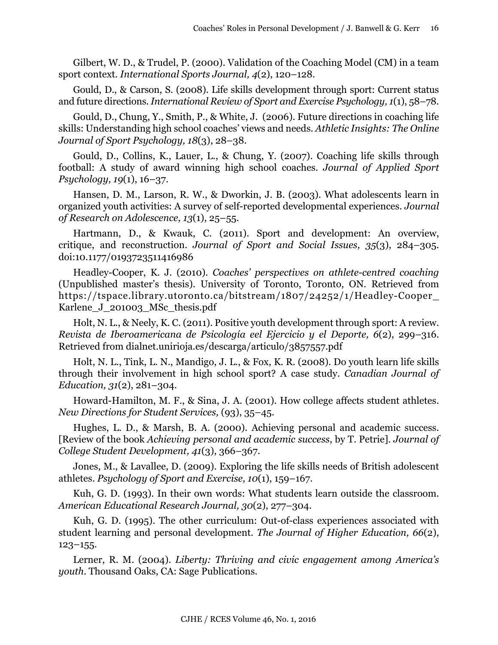Gilbert, W. D., & Trudel, P. (2000). Validation of the Coaching Model (CM) in a team sport context. *International Sports Journal, 4*(2), 120–128.

Gould, D., & Carson, S. (2008). Life skills development through sport: Current status and future directions. *International Review of Sport and Exercise Psychology, 1*(1), 58–78.

Gould, D., Chung, Y., Smith, P., & White, J. (2006). Future directions in coaching life skills: Understanding high school coaches' views and needs. *Athletic Insights: The Online Journal of Sport Psychology, 18*(3), 28–38.

Gould, D., Collins, K., Lauer, L., & Chung, Y. (2007). Coaching life skills through football: A study of award winning high school coaches. *Journal of Applied Sport Psychology, 19*(1), 16–37.

Hansen, D. M., Larson, R. W., & Dworkin, J. B. (2003). What adolescents learn in organized youth activities: A survey of self-reported developmental experiences. *Journal of Research on Adolescence, 13*(1), 25–55.

Hartmann, D., & Kwauk, C. (2011). Sport and development: An overview, critique, and reconstruction. *Journal of Sport and Social Issues, 35*(3), 284–305. doi:10.1177/0193723511416986

Headley-Cooper, K. J. (2010). *Coaches' perspectives on athlete-centred coaching* (Unpublished master's thesis). University of Toronto, Toronto, ON. Retrieved from [https://tspace.library.utoronto.ca/bitstream/1807/24252/1/Headley-Cooper\\_](https://tspace.library.utoronto.ca/bitstream/1807/24252/1/Headley-Cooper_Karlene_J_201003_MSc_thesis.pdf) [Karlene\\_J\\_201003\\_MSc\\_thesis.pdf](https://tspace.library.utoronto.ca/bitstream/1807/24252/1/Headley-Cooper_Karlene_J_201003_MSc_thesis.pdf)

Holt, N. L., & Neely, K. C. (2011). Positive youth development through sport: A review. *Revista de Iberoamericana de Psicología eel Ejercicio y el Deporte, 6*(2), 299–316. Retrieved from <dialnet.unirioja.es/descarga/articulo/3857557.pdf>

Holt, N. L., Tink, L. N., Mandigo, J. L., & Fox, K. R. (2008). Do youth learn life skills through their involvement in high school sport? A case study. *Canadian Journal of Education, 31*(2), 281–304.

Howard-Hamilton, M. F., & Sina, J. A. (2001). How college affects student athletes. *New Directions for Student Services,* (93), 35–45.

Hughes, L. D., & Marsh, B. A. (2000). Achieving personal and academic success. [Review of the book *Achieving personal and academic success*, by T. Petrie]. *Journal of College Student Development, 41*(3), 366–367.

Jones, M., & Lavallee, D. (2009). Exploring the life skills needs of British adolescent athletes. *Psychology of Sport and Exercise, 10*(1), 159–167.

Kuh, G. D. (1993). In their own words: What students learn outside the classroom. *American Educational Research Journal, 30*(2), 277–304.

Kuh, G. D. (1995). The other curriculum: Out-of-class experiences associated with student learning and personal development. *The Journal of Higher Education, 66*(2), 123–155.

Lerner, R. M. (2004). *Liberty: Thriving and civic engagement among America's youth*. Thousand Oaks, CA: Sage Publications.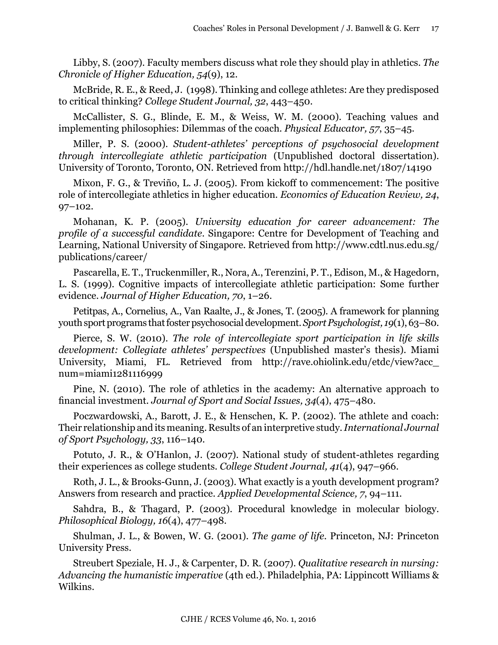Libby, S. (2007). Faculty members discuss what role they should play in athletics. *The Chronicle of Higher Education, 54*(9), 12.

McBride, R. E., & Reed, J. (1998). Thinking and college athletes: Are they predisposed to critical thinking? *College Student Journal, 32*, 443–450.

McCallister, S. G., Blinde, E. M., & Weiss, W. M. (2000). Teaching values and implementing philosophies: Dilemmas of the coach. *Physical Educator, 57*, 35–45.

Miller, P. S. (2000). *Student-athletes' perceptions of psychosocial development through intercollegiate athletic participation* (Unpublished doctoral dissertation). University of Toronto, Toronto, ON. Retrieved from <http://hdl.handle.net/1807/14190>

Mixon, F. G., & Treviño, L. J. (2005). From kickoff to commencement: The positive role of intercollegiate athletics in higher education. *Economics of Education Review, 24*, 97–102.

Mohanan, K. P. (2005). *University education for career advancement: The profile of a successful candidate*. Singapore: Centre for Development of Teaching and Learning, National University of Singapore*.* Retrieved from [http://www.cdtl.nus.edu.sg/](http://www.cdtl.nus.edu.sg/publications/career) [publications/career/](http://www.cdtl.nus.edu.sg/publications/career)

Pascarella, E. T., Truckenmiller, R., Nora, A., Terenzini, P. T., Edison, M., & Hagedorn, L. S. (1999). Cognitive impacts of intercollegiate athletic participation: Some further evidence. *Journal of Higher Education, 70*, 1–26.

Petitpas, A., Cornelius, A., Van Raalte, J., & Jones, T. (2005). A framework for planning youth sport programs that foster psychosocial development. *Sport Psychologist, 19*(1), 63–80.

Pierce, S. W. (2010). *The role of intercollegiate sport participation in life skills development: Collegiate athletes' perspectives* (Unpublished master's thesis). Miami University, Miami, FL. Retrieved from [http://rave.ohiolink.edu/etdc/view?acc\\_](http://rave.ohiolink.edu/etdc/view?acc_num=miami1281116999) [num=miami1281116999](http://rave.ohiolink.edu/etdc/view?acc_num=miami1281116999)

Pine, N. (2010). The role of athletics in the academy: An alternative approach to financial investment. *Journal of Sport and Social Issues, 34*(4), 475–480.

Poczwardowski, A., Barott, J. E., & Henschen, K. P. (2002). The athlete and coach: Their relationship and its meaning. Results of an interpretive study. *International Journal of Sport Psychology, 33*, 116–140.

Potuto, J. R., & O'Hanlon, J. (2007). National study of student-athletes regarding their experiences as college students. *College Student Journal, 41*(4), 947–966.

Roth, J. L., & Brooks-Gunn, J. (2003). What exactly is a youth development program? Answers from research and practice. *Applied Developmental Science, 7*, 94–111.

Sahdra, B., & Thagard, P. (2003). Procedural knowledge in molecular biology. *Philosophical Biology, 16*(4), 477–498.

Shulman, J. L., & Bowen, W. G. (2001). *The game of life.* Princeton, NJ: Princeton University Press.

Streubert Speziale, H. J., & Carpenter, D. R. (2007). *Qualitative research in nursing: Advancing the humanistic imperative* (4th ed.). Philadelphia, PA: Lippincott Williams & Wilkins.